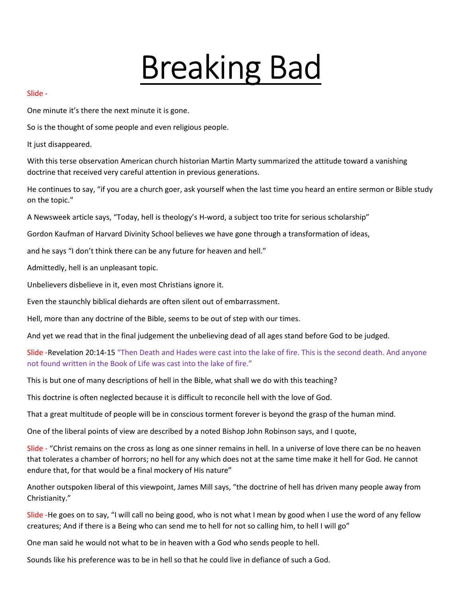# Breaking Bad

#### Slide -

One minute it's there the next minute it is gone.

So is the thought of some people and even religious people.

It just disappeared.

With this terse observation American church historian Martin Marty summarized the attitude toward a vanishing doctrine that received very careful attention in previous generations.

He continues to say, "if you are a church goer, ask yourself when the last time you heard an entire sermon or Bible study on the topic."

A Newsweek article says, "Today, hell is theology's H-word, a subject too trite for serious scholarship"

Gordon Kaufman of Harvard Divinity School believes we have gone through a transformation of ideas,

and he says "I don't think there can be any future for heaven and hell."

Admittedly, hell is an unpleasant topic.

Unbelievers disbelieve in it, even most Christians ignore it.

Even the staunchly biblical diehards are often silent out of embarrassment.

Hell, more than any doctrine of the Bible, seems to be out of step with our times.

And yet we read that in the final judgement the unbelieving dead of all ages stand before God to be judged.

Slide -Revelation 20:14-15 "Then Death and Hades were cast into the lake of fire. This is the second death. And anyone not found written in the Book of Life was cast into the lake of fire."

This is but one of many descriptions of hell in the Bible, what shall we do with this teaching?

This doctrine is often neglected because it is difficult to reconcile hell with the love of God.

That a great multitude of people will be in conscious torment forever is beyond the grasp of the human mind.

One of the liberal points of view are described by a noted Bishop John Robinson says, and I quote,

Slide - "Christ remains on the cross as long as one sinner remains in hell. In a universe of love there can be no heaven that tolerates a chamber of horrors; no hell for any which does not at the same time make it hell for God. He cannot endure that, for that would be a final mockery of His nature"

Another outspoken liberal of this viewpoint, James Mill says, "the doctrine of hell has driven many people away from Christianity."

Slide -He goes on to say, "I will call no being good, who is not what I mean by good when I use the word of any fellow creatures; And if there is a Being who can send me to hell for not so calling him, to hell I will go"

One man said he would not what to be in heaven with a God who sends people to hell.

Sounds like his preference was to be in hell so that he could live in defiance of such a God.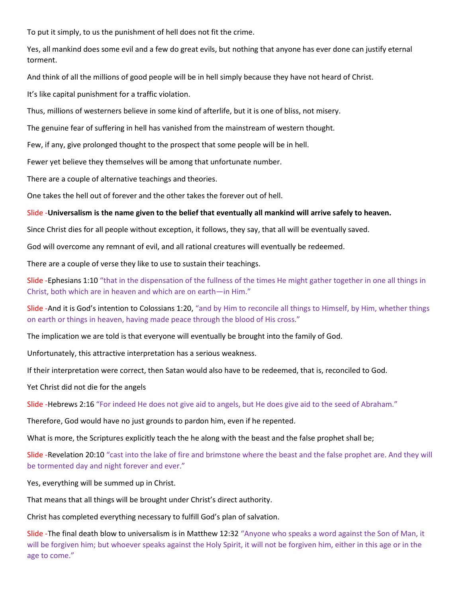To put it simply, to us the punishment of hell does not fit the crime.

Yes, all mankind does some evil and a few do great evils, but nothing that anyone has ever done can justify eternal torment.

And think of all the millions of good people will be in hell simply because they have not heard of Christ.

It's like capital punishment for a traffic violation.

Thus, millions of westerners believe in some kind of afterlife, but it is one of bliss, not misery.

The genuine fear of suffering in hell has vanished from the mainstream of western thought.

Few, if any, give prolonged thought to the prospect that some people will be in hell.

Fewer yet believe they themselves will be among that unfortunate number.

There are a couple of alternative teachings and theories.

One takes the hell out of forever and the other takes the forever out of hell.

#### Slide -Universalism is the name given to the belief that eventually all mankind will arrive safely to heaven.

Since Christ dies for all people without exception, it follows, they say, that all will be eventually saved.

God will overcome any remnant of evil, and all rational creatures will eventually be redeemed.

There are a couple of verse they like to use to sustain their teachings.

Slide -Ephesians 1:10 "that in the dispensation of the fullness of the times He might gather together in one all things in Christ, both which are in heaven and which are on earth—in Him."

Slide -And it is God's intention to Colossians 1:20, "and by Him to reconcile all things to Himself, by Him, whether things on earth or things in heaven, having made peace through the blood of His cross."

The implication we are told is that everyone will eventually be brought into the family of God.

Unfortunately, this attractive interpretation has a serious weakness.

If their interpretation were correct, then Satan would also have to be redeemed, that is, reconciled to God.

Yet Christ did not die for the angels

Slide -Hebrews 2:16 "For indeed He does not give aid to angels, but He does give aid to the seed of Abraham."

Therefore, God would have no just grounds to pardon him, even if he repented.

What is more, the Scriptures explicitly teach the he along with the beast and the false prophet shall be;

Slide -Revelation 20:10 "cast into the lake of fire and brimstone where the beast and the false prophet are. And they will be tormented day and night forever and ever."

Yes, everything will be summed up in Christ.

That means that all things will be brought under Christ's direct authority.

Christ has completed everything necessary to fulfill God's plan of salvation.

Slide -The final death blow to universalism is in Matthew 12:32 "Anyone who speaks a word against the Son of Man, it will be forgiven him; but whoever speaks against the Holy Spirit, it will not be forgiven him, either in this age or in the age to come."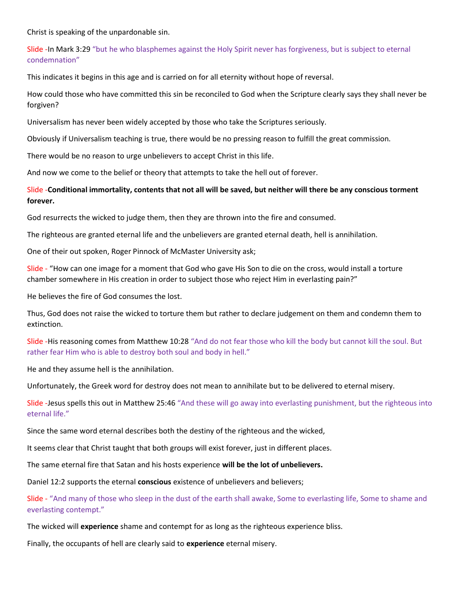Christ is speaking of the unpardonable sin.

Slide -In Mark 3:29 "but he who blasphemes against the Holy Spirit never has forgiveness, but is subject to eternal condemnation"

This indicates it begins in this age and is carried on for all eternity without hope of reversal.

How could those who have committed this sin be reconciled to God when the Scripture clearly says they shall never be forgiven?

Universalism has never been widely accepted by those who take the Scriptures seriously.

Obviously if Universalism teaching is true, there would be no pressing reason to fulfill the great commission.

There would be no reason to urge unbelievers to accept Christ in this life.

And now we come to the belief or theory that attempts to take the hell out of forever.

# Slide -Conditional immortality, contents that not all will be saved, but neither will there be any conscious torment forever.

God resurrects the wicked to judge them, then they are thrown into the fire and consumed.

The righteous are granted eternal life and the unbelievers are granted eternal death, hell is annihilation.

One of their out spoken, Roger Pinnock of McMaster University ask;

Slide - "How can one image for a moment that God who gave His Son to die on the cross, would install a torture chamber somewhere in His creation in order to subject those who reject Him in everlasting pain?"

He believes the fire of God consumes the lost.

Thus, God does not raise the wicked to torture them but rather to declare judgement on them and condemn them to extinction.

Slide -His reasoning comes from Matthew 10:28 "And do not fear those who kill the body but cannot kill the soul. But rather fear Him who is able to destroy both soul and body in hell."

He and they assume hell is the annihilation.

Unfortunately, the Greek word for destroy does not mean to annihilate but to be delivered to eternal misery.

Slide -Jesus spells this out in Matthew 25:46 "And these will go away into everlasting punishment, but the righteous into eternal life."

Since the same word eternal describes both the destiny of the righteous and the wicked,

It seems clear that Christ taught that both groups will exist forever, just in different places.

The same eternal fire that Satan and his hosts experience will be the lot of unbelievers.

Daniel 12:2 supports the eternal conscious existence of unbelievers and believers;

Slide - "And many of those who sleep in the dust of the earth shall awake, Some to everlasting life, Some to shame and everlasting contempt."

The wicked will experience shame and contempt for as long as the righteous experience bliss.

Finally, the occupants of hell are clearly said to experience eternal misery.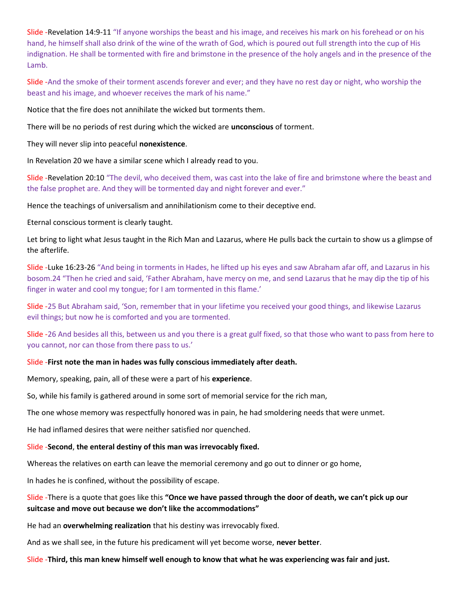Slide -Revelation 14:9-11 "If anyone worships the beast and his image, and receives his mark on his forehead or on his hand, he himself shall also drink of the wine of the wrath of God, which is poured out full strength into the cup of His indignation. He shall be tormented with fire and brimstone in the presence of the holy angels and in the presence of the Lamb.

Slide -And the smoke of their torment ascends forever and ever; and they have no rest day or night, who worship the beast and his image, and whoever receives the mark of his name."

Notice that the fire does not annihilate the wicked but torments them.

There will be no periods of rest during which the wicked are unconscious of torment.

They will never slip into peaceful nonexistence.

In Revelation 20 we have a similar scene which I already read to you.

Slide -Revelation 20:10 "The devil, who deceived them, was cast into the lake of fire and brimstone where the beast and the false prophet are. And they will be tormented day and night forever and ever."

Hence the teachings of universalism and annihilationism come to their deceptive end.

Eternal conscious torment is clearly taught.

Let bring to light what Jesus taught in the Rich Man and Lazarus, where He pulls back the curtain to show us a glimpse of the afterlife.

Slide -Luke 16:23-26 "And being in torments in Hades, he lifted up his eyes and saw Abraham afar off, and Lazarus in his bosom.24 "Then he cried and said, 'Father Abraham, have mercy on me, and send Lazarus that he may dip the tip of his finger in water and cool my tongue; for I am tormented in this flame.'

Slide -25 But Abraham said, 'Son, remember that in your lifetime you received your good things, and likewise Lazarus evil things; but now he is comforted and you are tormented.

Slide -26 And besides all this, between us and you there is a great gulf fixed, so that those who want to pass from here to you cannot, nor can those from there pass to us.'

#### Slide -First note the man in hades was fully conscious immediately after death.

Memory, speaking, pain, all of these were a part of his experience.

So, while his family is gathered around in some sort of memorial service for the rich man,

The one whose memory was respectfully honored was in pain, he had smoldering needs that were unmet.

He had inflamed desires that were neither satisfied nor quenched.

#### Slide -Second, the enteral destiny of this man was irrevocably fixed.

Whereas the relatives on earth can leave the memorial ceremony and go out to dinner or go home,

In hades he is confined, without the possibility of escape.

## Slide -There is a quote that goes like this "Once we have passed through the door of death, we can't pick up our suitcase and move out because we don't like the accommodations"

He had an overwhelming realization that his destiny was irrevocably fixed.

And as we shall see, in the future his predicament will yet become worse, never better.

Slide -Third, this man knew himself well enough to know that what he was experiencing was fair and just.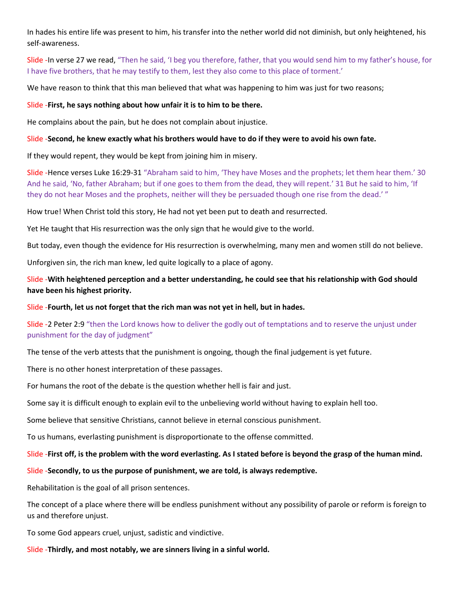In hades his entire life was present to him, his transfer into the nether world did not diminish, but only heightened, his self-awareness.

Slide -In verse 27 we read, "Then he said, 'I beg you therefore, father, that you would send him to my father's house, for I have five brothers, that he may testify to them, lest they also come to this place of torment.'

We have reason to think that this man believed that what was happening to him was just for two reasons;

### Slide -First, he says nothing about how unfair it is to him to be there.

He complains about the pain, but he does not complain about injustice.

## Slide -Second, he knew exactly what his brothers would have to do if they were to avoid his own fate.

If they would repent, they would be kept from joining him in misery.

Slide -Hence verses Luke 16:29-31 "Abraham said to him, 'They have Moses and the prophets; let them hear them.' 30 And he said, 'No, father Abraham; but if one goes to them from the dead, they will repent.' 31 But he said to him, 'If they do not hear Moses and the prophets, neither will they be persuaded though one rise from the dead.' "

How true! When Christ told this story, He had not yet been put to death and resurrected.

Yet He taught that His resurrection was the only sign that he would give to the world.

But today, even though the evidence for His resurrection is overwhelming, many men and women still do not believe.

Unforgiven sin, the rich man knew, led quite logically to a place of agony.

Slide -With heightened perception and a better understanding, he could see that his relationship with God should have been his highest priority.

# Slide -Fourth, let us not forget that the rich man was not yet in hell, but in hades.

# Slide -2 Peter 2:9 "then the Lord knows how to deliver the godly out of temptations and to reserve the unjust under punishment for the day of judgment"

The tense of the verb attests that the punishment is ongoing, though the final judgement is yet future.

There is no other honest interpretation of these passages.

For humans the root of the debate is the question whether hell is fair and just.

Some say it is difficult enough to explain evil to the unbelieving world without having to explain hell too.

Some believe that sensitive Christians, cannot believe in eternal conscious punishment.

To us humans, everlasting punishment is disproportionate to the offense committed.

# Slide -First off, is the problem with the word everlasting. As I stated before is beyond the grasp of the human mind.

# Slide -Secondly, to us the purpose of punishment, we are told, is always redemptive.

Rehabilitation is the goal of all prison sentences.

The concept of a place where there will be endless punishment without any possibility of parole or reform is foreign to us and therefore unjust.

To some God appears cruel, unjust, sadistic and vindictive.

### Slide -Thirdly, and most notably, we are sinners living in a sinful world.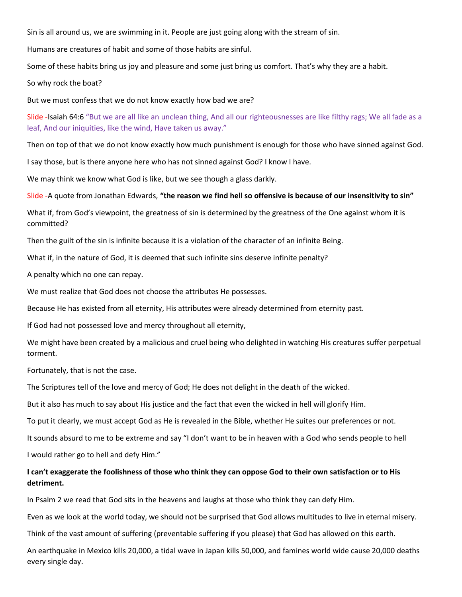Sin is all around us, we are swimming in it. People are just going along with the stream of sin.

Humans are creatures of habit and some of those habits are sinful.

Some of these habits bring us joy and pleasure and some just bring us comfort. That's why they are a habit.

So why rock the boat?

But we must confess that we do not know exactly how bad we are?

Slide -Isaiah 64:6 "But we are all like an unclean thing, And all our righteousnesses are like filthy rags; We all fade as a leaf, And our iniquities, like the wind, Have taken us away."

Then on top of that we do not know exactly how much punishment is enough for those who have sinned against God.

I say those, but is there anyone here who has not sinned against God? I know I have.

We may think we know what God is like, but we see though a glass darkly.

Slide -A quote from Jonathan Edwards, "the reason we find hell so offensive is because of our insensitivity to sin"

What if, from God's viewpoint, the greatness of sin is determined by the greatness of the One against whom it is committed?

Then the guilt of the sin is infinite because it is a violation of the character of an infinite Being.

What if, in the nature of God, it is deemed that such infinite sins deserve infinite penalty?

A penalty which no one can repay.

We must realize that God does not choose the attributes He possesses.

Because He has existed from all eternity, His attributes were already determined from eternity past.

If God had not possessed love and mercy throughout all eternity,

We might have been created by a malicious and cruel being who delighted in watching His creatures suffer perpetual torment.

Fortunately, that is not the case.

The Scriptures tell of the love and mercy of God; He does not delight in the death of the wicked.

But it also has much to say about His justice and the fact that even the wicked in hell will glorify Him.

To put it clearly, we must accept God as He is revealed in the Bible, whether He suites our preferences or not.

It sounds absurd to me to be extreme and say "I don't want to be in heaven with a God who sends people to hell I would rather go to hell and defy Him."

# I can't exaggerate the foolishness of those who think they can oppose God to their own satisfaction or to His detriment.

In Psalm 2 we read that God sits in the heavens and laughs at those who think they can defy Him.

Even as we look at the world today, we should not be surprised that God allows multitudes to live in eternal misery.

Think of the vast amount of suffering (preventable suffering if you please) that God has allowed on this earth.

An earthquake in Mexico kills 20,000, a tidal wave in Japan kills 50,000, and famines world wide cause 20,000 deaths every single day.